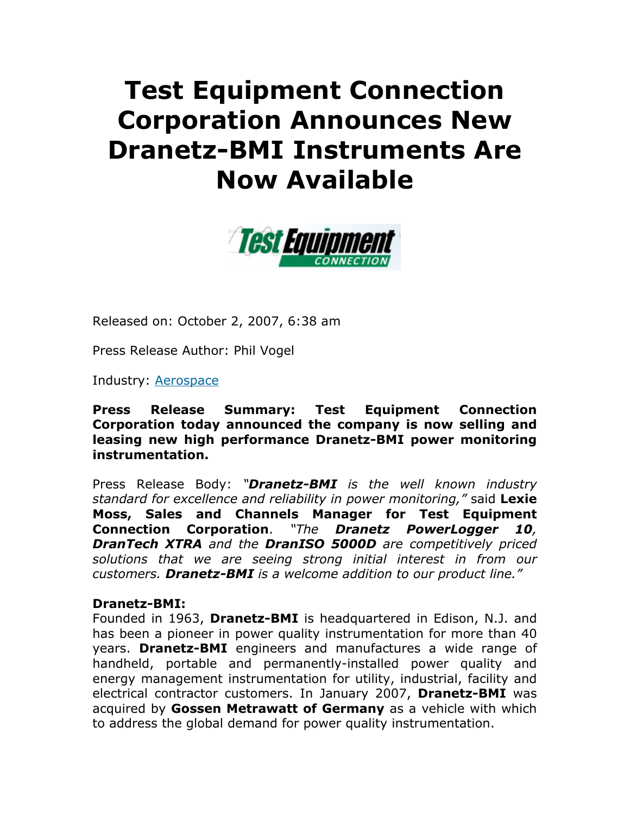## **Test Equipment Connection Corporation Announces New Dranetz-BMI Instruments Are Now Available**



Released on: October 2, 2007, 6:38 am

Press Release Author: Phil Vogel

Industry: Aerospace

**Press Release Summary: Test Equipment Connection Corporation today announced the company is now selling and leasing new high performance Dranetz-BMI power monitoring instrumentation.** 

Press Release Body: *"Dranetz-BMI is the well known industry standard for excellence and reliability in power monitoring,"* said **Lexie Moss, Sales and Channels Manager for Test Equipment Connection Corporation**. *"The Dranetz PowerLogger 10, DranTech XTRA and the DranISO 5000D are competitively priced solutions that we are seeing strong initial interest in from our customers. Dranetz-BMI is a welcome addition to our product line."*

## **Dranetz-BMI:**

Founded in 1963, **Dranetz-BMI** is headquartered in Edison, N.J. and has been a pioneer in power quality instrumentation for more than 40 years. **Dranetz-BMI** engineers and manufactures a wide range of handheld, portable and permanently-installed power quality and energy management instrumentation for utility, industrial, facility and electrical contractor customers. In January 2007, **Dranetz-BMI** was acquired by **Gossen Metrawatt of Germany** as a vehicle with which to address the global demand for power quality instrumentation.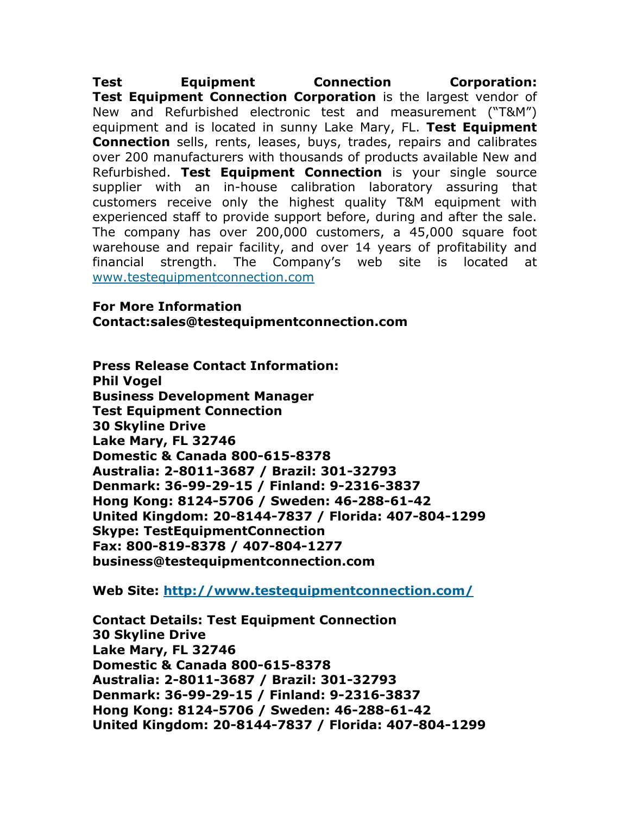**Test Equipment Connection Corporation: Test Equipment Connection Corporation** is the largest vendor of New and Refurbished electronic test and measurement ("T&M") equipment and is located in sunny Lake Mary, FL. **Test Equipment Connection** sells, rents, leases, buys, trades, repairs and calibrates over 200 manufacturers with thousands of products available New and Refurbished. **Test Equipment Connection** is your single source supplier with an in-house calibration laboratory assuring that customers receive only the highest quality T&M equipment with experienced staff to provide support before, during and after the sale. The company has over 200,000 customers, a 45,000 square foot warehouse and repair facility, and over 14 years of profitability and financial strength. The Company's web site is located at www.testequipmentconnection.com

**For More Information Contact:sales@testequipmentconnection.com**

**Press Release Contact Information: Phil Vogel Business Development Manager Test Equipment Connection 30 Skyline Drive Lake Mary, FL 32746 Domestic & Canada 800-615-8378 Australia: 2-8011-3687 / Brazil: 301-32793 Denmark: 36-99-29-15 / Finland: 9-2316-3837 Hong Kong: 8124-5706 / Sweden: 46-288-61-42 United Kingdom: 20-8144-7837 / Florida: 407-804-1299 Skype: TestEquipmentConnection Fax: 800-819-8378 / 407-804-1277 business@testequipmentconnection.com**

**Web Site: http://www.testequipmentconnection.com/**

**Contact Details: Test Equipment Connection 30 Skyline Drive Lake Mary, FL 32746 Domestic & Canada 800-615-8378 Australia: 2-8011-3687 / Brazil: 301-32793 Denmark: 36-99-29-15 / Finland: 9-2316-3837 Hong Kong: 8124-5706 / Sweden: 46-288-61-42 United Kingdom: 20-8144-7837 / Florida: 407-804-1299**